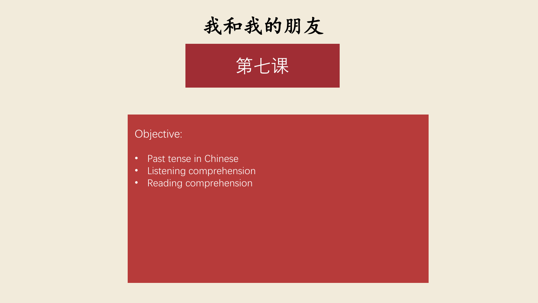



## Objective:

- Past tense in Chinese
- Listening comprehension
- Reading comprehension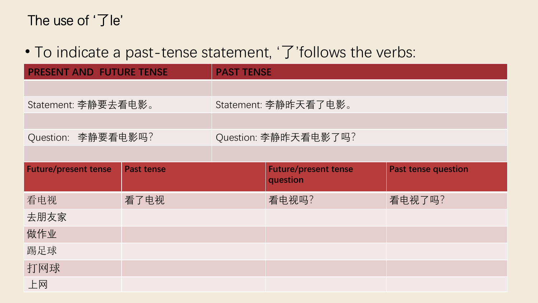## The use of '了le'

## • To indicate a past-tense statement, '了'follows the verbs:

| <b>PRESENT AND FUTURE TENSE</b> |                   | <b>PAST TENSE</b>    |                                         |                            |
|---------------------------------|-------------------|----------------------|-----------------------------------------|----------------------------|
|                                 |                   |                      |                                         |                            |
| Statement: 李静要去看电影。             |                   | Statement: 李静昨天看了电影。 |                                         |                            |
|                                 |                   |                      |                                         |                            |
| Question: 李静要看电影吗?              |                   | Question: 李静昨天看电影了吗? |                                         |                            |
|                                 |                   |                      |                                         |                            |
| <b>Future/present tense</b>     | <b>Past tense</b> |                      | <b>Future/present tense</b><br>question | <b>Past tense question</b> |
| 看电视                             | 看了电视              |                      | 看电视吗?                                   | 看电视了吗?                     |
| 去朋友家                            |                   |                      |                                         |                            |
| 做作业                             |                   |                      |                                         |                            |
| 踢足球                             |                   |                      |                                         |                            |
| 打网球                             |                   |                      |                                         |                            |
| 上网                              |                   |                      |                                         |                            |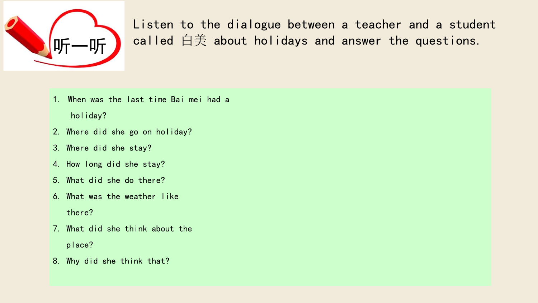

Listen to the dialogue between a teacher and a student called 白美 about holidays and answer the questions.

- 1. When was the last time Bai mei had a holiday?
- 2. Where did she go on holiday?
- 3. Where did she stay?
- 4. How long did she stay?
- 5. What did she do there?
- 6. What was the weather like there?
- 7. What did she think about the place?
- 8. Why did she think that?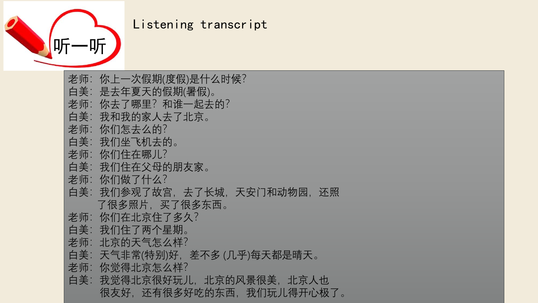

## Listening transcript

老师:你上一次假期(度假)是什么时候? 白美:是去年夏天的假期(暑假)。 老师:你去了哪里?和谁一起去的? 白美:我和我的家人去了北京。 老师:你们怎去么的? 白美:我们坐飞机去的。 老师: 你们住在哪儿? 白美:我们住在父母的朋友家。 老师: 你们做了什么? 白美:我们参观了故宫,去了长城,天安门和动物园,还照 了很多原西。 老师: 你们在北京住了多久? 白美:我们住了两个星期。 老师: 北京的天气怎么样? 白美:天气非常(特别)好,差不多 (几乎)每天都是晴天。 老师:你觉得北京怎么样? 白美:我觉得北京很好玩儿,北京的风景很美,北京人也 很友好,还有很多好吃的东西,我们玩儿得开心极了。